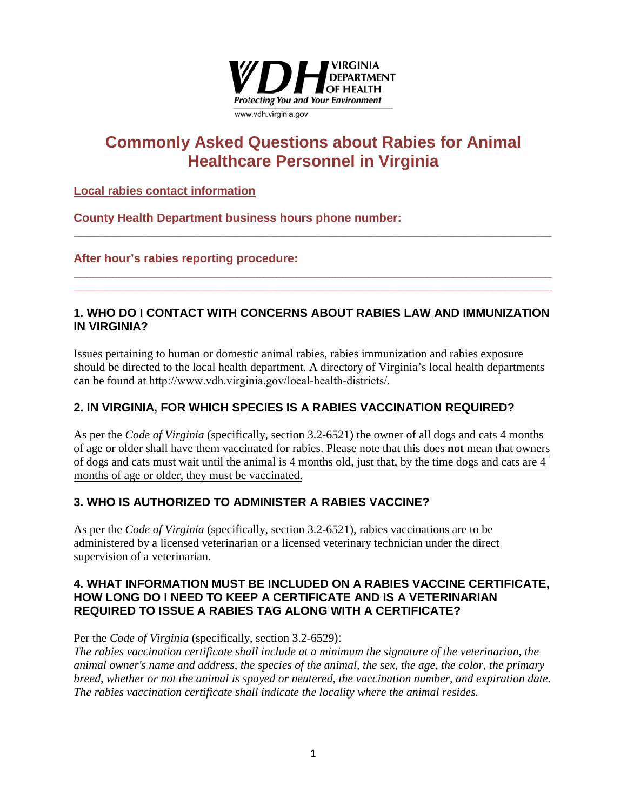

# **Commonly Asked Questions about Rabies for Animal Healthcare Personnel in Virginia**

## **Local rabies contact information**

**County Health Department business hours phone number:**

## **After hour's rabies reporting procedure:**

## **1. WHO DO I CONTACT WITH CONCERNS ABOUT RABIES LAW AND IMMUNIZATION IN VIRGINIA?**

**\_\_\_\_\_\_\_\_\_\_\_\_\_\_\_\_\_\_\_\_\_\_\_\_\_\_\_\_\_\_\_\_\_\_\_\_\_\_\_\_\_\_\_\_\_\_\_\_\_\_\_\_\_\_\_\_\_\_\_\_\_\_\_\_\_\_\_\_\_\_\_\_\_**

**\_\_\_\_\_\_\_\_\_\_\_\_\_\_\_\_\_\_\_\_\_\_\_\_\_\_\_\_\_\_\_\_\_\_\_\_\_\_\_\_\_\_\_\_\_\_\_\_\_\_\_\_\_\_\_\_\_\_\_\_\_\_\_\_\_\_\_\_\_\_\_\_\_ \_\_\_\_\_\_\_\_\_\_\_\_\_\_\_\_\_\_\_\_\_\_\_\_\_\_\_\_\_\_\_\_\_\_\_\_\_\_\_\_\_\_\_\_\_\_\_\_\_\_\_\_\_\_\_\_\_\_\_\_\_\_\_\_\_\_\_\_\_\_\_\_\_** 

Issues pertaining to human or domestic animal rabies, rabies immunization and rabies exposure should be directed to the local health department. A directory of Virginia's local health departments can be found at http://www.vdh.virginia.gov/local-health-districts/.

## **2. IN VIRGINIA, FOR WHICH SPECIES IS A RABIES VACCINATION REQUIRED?**

As per the *Code of Virginia* (specifically, section 3.2-6521) the owner of all dogs and cats 4 months of age or older shall have them vaccinated for rabies. Please note that this does **not** mean that owners of dogs and cats must wait until the animal is 4 months old, just that, by the time dogs and cats are 4 months of age or older, they must be vaccinated.

## **3. WHO IS AUTHORIZED TO ADMINISTER A RABIES VACCINE?**

As per the *Code of Virginia* (specifically, section 3.2-6521), rabies vaccinations are to be administered by a licensed veterinarian or a licensed veterinary technician under the direct supervision of a veterinarian.

## **4. WHAT INFORMATION MUST BE INCLUDED ON A RABIES VACCINE CERTIFICATE, HOW LONG DO I NEED TO KEEP A CERTIFICATE AND IS A VETERINARIAN REQUIRED TO ISSUE A RABIES TAG ALONG WITH A CERTIFICATE?**

Per the *Code of Virginia* (specifically, section 3.2-6529):

*The rabies vaccination certificate shall include at a minimum the signature of the veterinarian, the animal owner's name and address, the species of the animal, the sex, the age, the color, the primary breed, whether or not the animal is spayed or neutered, the vaccination number, and expiration date. The rabies vaccination certificate shall indicate the locality where the animal resides.*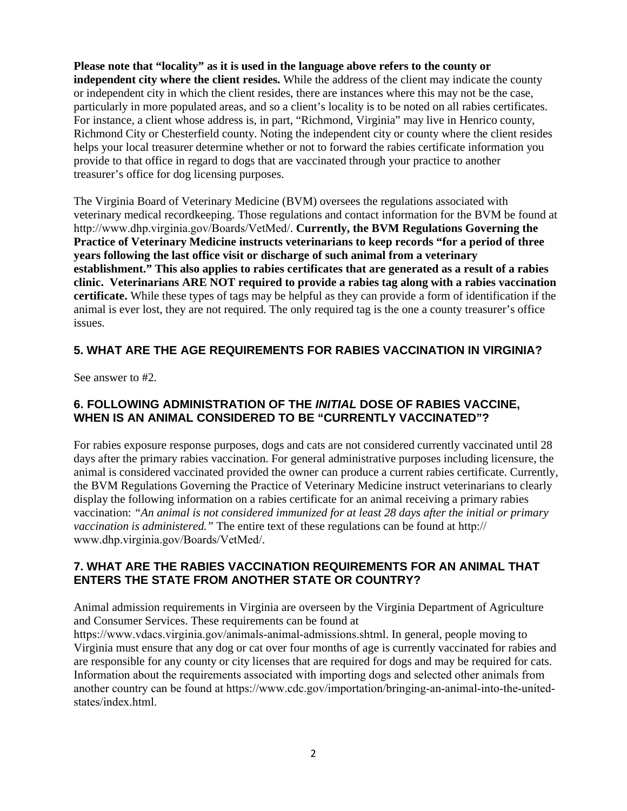**Please note that "locality" as it is used in the language above refers to the county or independent city where the client resides.** While the address of the client may indicate the county or independent city in which the client resides, there are instances where this may not be the case, particularly in more populated areas, and so a client's locality is to be noted on all rabies certificates. For instance, a client whose address is, in part, "Richmond, Virginia" may live in Henrico county, Richmond City or Chesterfield county. Noting the independent city or county where the client resides helps your local treasurer determine whether or not to forward the rabies certificate information you provide to that office in regard to dogs that are vaccinated through your practice to another treasurer's office for dog licensing purposes.

The Virginia Board of Veterinary Medicine (BVM) oversees the regulations associated with veterinary medical recordkeeping. Those regulations and contact information for the BVM be found at http://www.dhp.virginia.gov/Boards/VetMed/. **Currently, the BVM Regulations Governing the Practice of Veterinary Medicine instructs veterinarians to keep records "for a period of three years following the last office visit or discharge of such animal from a veterinary establishment." This also applies to rabies certificates that are generated as a result of a rabies clinic. Veterinarians ARE NOT required to provide a rabies tag along with a rabies vaccination certificate.** While these types of tags may be helpful as they can provide a form of identification if the animal is ever lost, they are not required. The only required tag is the one a county treasurer's office issues.

## **5. WHAT ARE THE AGE REQUIREMENTS FOR RABIES VACCINATION IN VIRGINIA?**

See answer to #2.

## **6. FOLLOWING ADMINISTRATION OF THE** *INITIAL* **DOSE OF RABIES VACCINE, WHEN IS AN ANIMAL CONSIDERED TO BE "CURRENTLY VACCINATED"?**

For rabies exposure response purposes, dogs and cats are not considered currently vaccinated until 28 days after the primary rabies vaccination. For general administrative purposes including licensure, the animal is considered vaccinated provided the owner can produce a current rabies certificate. Currently, the BVM Regulations Governing the Practice of Veterinary Medicine instruct veterinarians to clearly display the following information on a rabies certificate for an animal receiving a primary rabies vaccination: *"An animal is not considered immunized for at least 28 days after the initial or primary vaccination is administered."* The entire text of these regulations can be found at http:// www.dhp.virginia.gov/Boards/VetMed/.

## **7. WHAT ARE THE RABIES VACCINATION REQUIREMENTS FOR AN ANIMAL THAT ENTERS THE STATE FROM ANOTHER STATE OR COUNTRY?**

Animal admission requirements in Virginia are overseen by the Virginia Department of Agriculture and Consumer Services. These requirements can be found at

https://www.vdacs.virginia.gov/animals-animal-admissions.shtml. In general, people moving to Virginia must ensure that any dog or cat over four months of age is currently vaccinated for rabies and are responsible for any county or city licenses that are required for dogs and may be required for cats. Information about the requirements associated with importing dogs and selected other animals from another country can be found at https://www.cdc.gov/importation/bringing-an-animal-into-the-unitedstates/index.html.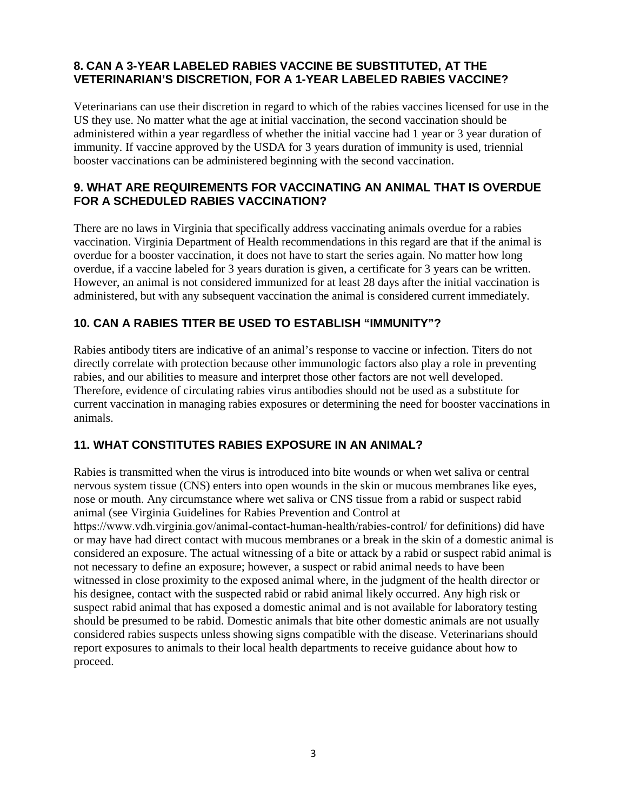## **8. CAN A 3-YEAR LABELED RABIES VACCINE BE SUBSTITUTED, AT THE VETERINARIAN'S DISCRETION, FOR A 1-YEAR LABELED RABIES VACCINE?**

Veterinarians can use their discretion in regard to which of the rabies vaccines licensed for use in the US they use. No matter what the age at initial vaccination, the second vaccination should be administered within a year regardless of whether the initial vaccine had 1 year or 3 year duration of immunity. If vaccine approved by the USDA for 3 years duration of immunity is used, triennial booster vaccinations can be administered beginning with the second vaccination.

## **9. WHAT ARE REQUIREMENTS FOR VACCINATING AN ANIMAL THAT IS OVERDUE FOR A SCHEDULED RABIES VACCINATION?**

There are no laws in Virginia that specifically address vaccinating animals overdue for a rabies vaccination. Virginia Department of Health recommendations in this regard are that if the animal is overdue for a booster vaccination, it does not have to start the series again. No matter how long overdue, if a vaccine labeled for 3 years duration is given, a certificate for 3 years can be written. However, an animal is not considered immunized for at least 28 days after the initial vaccination is administered, but with any subsequent vaccination the animal is considered current immediately.

## **10. CAN A RABIES TITER BE USED TO ESTABLISH "IMMUNITY"?**

Rabies antibody titers are indicative of an animal's response to vaccine or infection. Titers do not directly correlate with protection because other immunologic factors also play a role in preventing rabies, and our abilities to measure and interpret those other factors are not well developed. Therefore, evidence of circulating rabies virus antibodies should not be used as a substitute for current vaccination in managing rabies exposures or determining the need for booster vaccinations in animals.

## **11. WHAT CONSTITUTES RABIES EXPOSURE IN AN ANIMAL?**

Rabies is transmitted when the virus is introduced into bite wounds or when wet saliva or central nervous system tissue (CNS) enters into open wounds in the skin or mucous membranes like eyes, nose or mouth. Any circumstance where wet saliva or CNS tissue from a rabid or suspect rabid animal (see Virginia Guidelines for Rabies Prevention and Control at

https://www.vdh.virginia.gov/animal-contact-human-health/rabies-control/ for definitions) did have or may have had direct contact with mucous membranes or a break in the skin of a domestic animal is considered an exposure. The actual witnessing of a bite or attack by a rabid or suspect rabid animal is not necessary to define an exposure; however, a suspect or rabid animal needs to have been witnessed in close proximity to the exposed animal where, in the judgment of the health director or his designee, contact with the suspected rabid or rabid animal likely occurred. Any high risk or suspect rabid animal that has exposed a domestic animal and is not available for laboratory testing should be presumed to be rabid. Domestic animals that bite other domestic animals are not usually considered rabies suspects unless showing signs compatible with the disease. Veterinarians should report exposures to animals to their local health departments to receive guidance about how to proceed.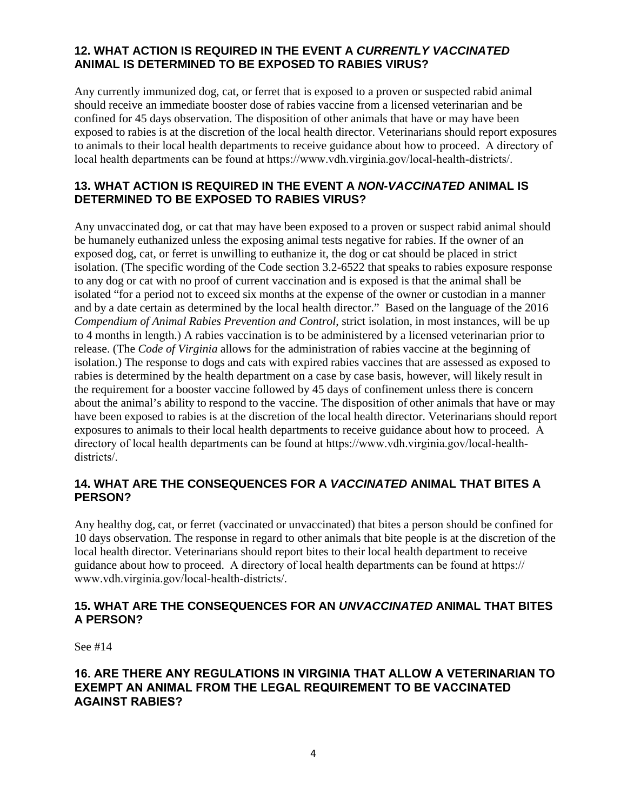## **12. WHAT ACTION IS REQUIRED IN THE EVENT A** *CURRENTLY VACCINATED* **ANIMAL IS DETERMINED TO BE EXPOSED TO RABIES VIRUS?**

Any currently immunized dog, cat, or ferret that is exposed to a proven or suspected rabid animal should receive an immediate booster dose of rabies vaccine from a licensed veterinarian and be confined for 45 days observation. The disposition of other animals that have or may have been exposed to rabies is at the discretion of the local health director. Veterinarians should report exposures to animals to their local health departments to receive guidance about how to proceed. A directory of local health departments can be found at https://www.vdh.virginia.gov/local-health-districts/.

## **13. WHAT ACTION IS REQUIRED IN THE EVENT A** *NON-VACCINATED* **ANIMAL IS DETERMINED TO BE EXPOSED TO RABIES VIRUS?**

Any unvaccinated dog, or cat that may have been exposed to a proven or suspect rabid animal should be humanely euthanized unless the exposing animal tests negative for rabies. If the owner of an exposed dog, cat, or ferret is unwilling to euthanize it, the dog or cat should be placed in strict isolation. (The specific wording of the Code section 3.2-6522 that speaks to rabies exposure response to any dog or cat with no proof of current vaccination and is exposed is that the animal shall be isolated "for a period not to exceed six months at the expense of the owner or custodian in a manner and by a date certain as determined by the local health director." Based on the language of the 2016 *Compendium of Animal Rabies Prevention and Control*, strict isolation, in most instances, will be up to 4 months in length.) A rabies vaccination is to be administered by a licensed veterinarian prior to release. (The *Code of Virginia* allows for the administration of rabies vaccine at the beginning of isolation.) The response to dogs and cats with expired rabies vaccines that are assessed as exposed to rabies is determined by the health department on a case by case basis, however, will likely result in the requirement for a booster vaccine followed by 45 days of confinement unless there is concern about the animal's ability to respond to the vaccine. The disposition of other animals that have or may have been exposed to rabies is at the discretion of the local health director. Veterinarians should report exposures to animals to their local health departments to receive guidance about how to proceed. A directory of local health departments can be found at https://www.vdh.virginia.gov/local-healthdistricts/.

## **14. WHAT ARE THE CONSEQUENCES FOR A** *VACCINATED* **ANIMAL THAT BITES A PERSON?**

Any healthy dog, cat, or ferret (vaccinated or unvaccinated) that bites a person should be confined for 10 days observation. The response in regard to other animals that bite people is at the discretion of the local health director. Veterinarians should report bites to their local health department to receive guidance about how to proceed. A directory of local health departments can be found at https:// www.vdh.virginia.gov/local-health-districts/.

## **15. WHAT ARE THE CONSEQUENCES FOR AN** *UNVACCINATED* **ANIMAL THAT BITES A PERSON?**

See #14

## **16. ARE THERE ANY REGULATIONS IN VIRGINIA THAT ALLOW A VETERINARIAN TO EXEMPT AN ANIMAL FROM THE LEGAL REQUIREMENT TO BE VACCINATED AGAINST RABIES?**